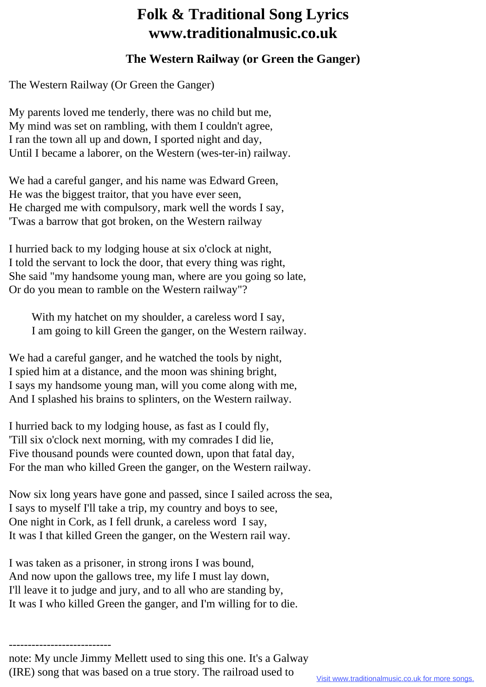## **Folk & Traditional Song Lyrics www.traditionalmusic.co.uk**

## **The Western Railway (or Green the Ganger)**

The Western Railway (Or Green the Ganger)

My parents loved me tenderly, there was no child but me, My mind was set on rambling, with them I couldn't agree, I ran the town all up and down, I sported night and day, Until I became a laborer, on the Western (wes-ter-in) railway.

We had a careful ganger, and his name was Edward Green, He was the biggest traitor, that you have ever seen, He charged me with compulsory, mark well the words I say, 'Twas a barrow that got broken, on the Western railway

I hurried back to my lodging house at six o'clock at night, I told the servant to lock the door, that every thing was right, She said "my handsome young man, where are you going so late, Or do you mean to ramble on the Western railway"?

 With my hatchet on my shoulder, a careless word I say, I am going to kill Green the ganger, on the Western railway.

We had a careful ganger, and he watched the tools by night, I spied him at a distance, and the moon was shining bright, I says my handsome young man, will you come along with me, And I splashed his brains to splinters, on the Western railway.

I hurried back to my lodging house, as fast as I could fly, 'Till six o'clock next morning, with my comrades I did lie, Five thousand pounds were counted down, upon that fatal day, For the man who killed Green the ganger, on the Western railway.

Now six long years have gone and passed, since I sailed across the sea, I says to myself I'll take a trip, my country and boys to see, One night in Cork, as I fell drunk, a careless word I say, It was I that killed Green the ganger, on the Western rail way.

I was taken as a prisoner, in strong irons I was bound, And now upon the gallows tree, my life I must lay down, I'll leave it to judge and jury, and to all who are standing by, It was I who killed Green the ganger, and I'm willing for to die.

-------------------------- note: My uncle Jimmy Mellett used to sing this one. It's a Galway (IRE) song that was based on a true story. The railroad used to